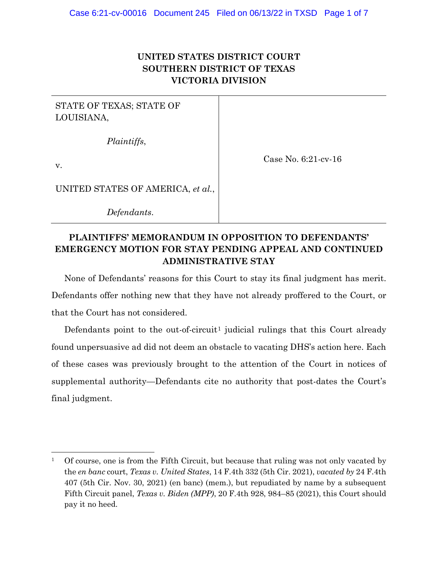# **UNITED STATES DISTRICT COURT SOUTHERN DISTRICT OF TEXAS VICTORIA DIVISION**

| STATE OF TEXAS; STATE OF<br>LOUISIANA, |                        |
|----------------------------------------|------------------------|
| Plaintiffs,                            |                        |
| V.                                     | Case No. $6:21$ -cv-16 |
| UNITED STATES OF AMERICA, et al.,      |                        |

*Defendants*.

# **PLAINTIFFS' MEMORANDUM IN OPPOSITION TO DEFENDANTS' EMERGENCY MOTION FOR STAY PENDING APPEAL AND CONTINUED ADMINISTRATIVE STAY**

None of Defendants' reasons for this Court to stay its final judgment has merit. Defendants offer nothing new that they have not already proffered to the Court, or that the Court has not considered.

Defendants point to the out-of-circuit<sup>1</sup> judicial rulings that this Court already found unpersuasive ad did not deem an obstacle to vacating DHS's action here. Each of these cases was previously brought to the attention of the Court in notices of supplemental authority—Defendants cite no authority that post-dates the Court's final judgment.

<sup>1</sup> Of course, one is from the Fifth Circuit, but because that ruling was not only vacated by the *en banc* court, *Texas v. United States*, 14 F.4th 332 (5th Cir. 2021), *vacated by* 24 F.4th 407 (5th Cir. Nov. 30, 2021) (en banc) (mem.), but repudiated by name by a subsequent Fifth Circuit panel, *Texas v. Biden (MPP)*, 20 F.4th 928, 984–85 (2021), this Court should pay it no heed.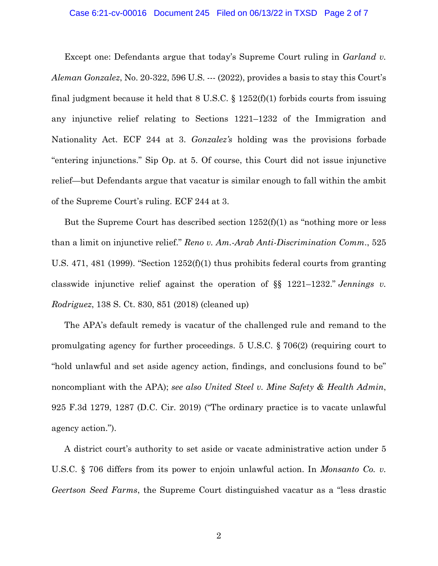#### Case 6:21-cv-00016 Document 245 Filed on 06/13/22 in TXSD Page 2 of 7

Except one: Defendants argue that today's Supreme Court ruling in *Garland v. Aleman Gonzalez*, No. 20-322, 596 U.S. --- (2022), provides a basis to stay this Court's final judgment because it held that 8 U.S.C. § 1252(f)(1) forbids courts from issuing any injunctive relief relating to Sections 1221–1232 of the Immigration and Nationality Act. ECF 244 at 3. *Gonzalez's* holding was the provisions forbade "entering injunctions." Sip Op. at 5. Of course, this Court did not issue injunctive relief—but Defendants argue that vacatur is similar enough to fall within the ambit of the Supreme Court's ruling. ECF 244 at 3.

But the Supreme Court has described section 1252(f)(1) as "nothing more or less than a limit on injunctive relief." *Reno v. Am.-Arab Anti-Discrimination Comm*., 525 U.S. 471, 481 (1999). "Section 1252(f)(1) thus prohibits federal courts from granting classwide injunctive relief against the operation of §§ 1221–1232." *Jennings v. Rodriguez*, 138 S. Ct. 830, 851 (2018) (cleaned up)

The APA's default remedy is vacatur of the challenged rule and remand to the promulgating agency for further proceedings. 5 U.S.C. § 706(2) (requiring court to "hold unlawful and set aside agency action, findings, and conclusions found to be" noncompliant with the APA); *see also United Steel v. Mine Safety & Health Admin*, 925 F.3d 1279, 1287 (D.C. Cir. 2019) ("The ordinary practice is to vacate unlawful agency action.").

A district court's authority to set aside or vacate administrative action under 5 U.S.C. § 706 differs from its power to enjoin unlawful action. In *Monsanto Co. v. Geertson Seed Farms*, the Supreme Court distinguished vacatur as a "less drastic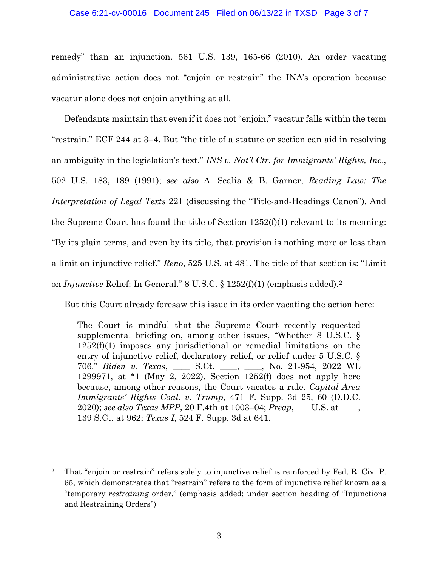#### Case 6:21-cv-00016 Document 245 Filed on 06/13/22 in TXSD Page 3 of 7

remedy" than an injunction. 561 U.S. 139, 165-66 (2010). An order vacating administrative action does not "enjoin or restrain" the INA's operation because vacatur alone does not enjoin anything at all.

Defendants maintain that even if it does not "enjoin," vacatur falls within the term "restrain." ECF 244 at 3–4. But "the title of a statute or section can aid in resolving an ambiguity in the legislation's text." *INS v. Nat'l Ctr. for Immigrants' Rights, Inc.*, 502 U.S. 183, 189 (1991); *see also* A. Scalia & B. Garner, *Reading Law: The Interpretation of Legal Texts* 221 (discussing the "Title-and-Headings Canon"). And the Supreme Court has found the title of Section  $1252(f)(1)$  relevant to its meaning: "By its plain terms, and even by its title, that provision is nothing more or less than a limit on injunctive relief." *Reno*, 525 U.S. at 481. The title of that section is: "Limit on *Injunctive* Relief: In General." 8 U.S.C. § 1252(f)(1) (emphasis added).2

But this Court already foresaw this issue in its order vacating the action here:

The Court is mindful that the Supreme Court recently requested supplemental briefing on, among other issues, "Whether 8 U.S.C. § 1252(f)(1) imposes any jurisdictional or remedial limitations on the entry of injunctive relief, declaratory relief, or relief under 5 U.S.C. § 706." *Biden v. Texas*, \_\_\_\_ S.Ct. \_\_\_\_, \_\_\_\_, No. 21-954, 2022 WL 1299971, at \*1 (May 2, 2022). Section 1252(f) does not apply here because, among other reasons, the Court vacates a rule. *Capital Area Immigrants' Rights Coal. v. Trump*, 471 F. Supp. 3d 25, 60 (D.D.C. 2020); *see also Texas MPP*, 20 F.4th at 1003–04; *Preap*, \_\_\_ U.S. at \_\_\_\_, 139 S.Ct. at 962; *Texas I*, 524 F. Supp. 3d at 641.

<sup>&</sup>lt;sup>2</sup> That "enjoin or restrain" refers solely to injunctive relief is reinforced by Fed. R. Civ. P. 65, which demonstrates that "restrain" refers to the form of injunctive relief known as a "temporary *restraining* order." (emphasis added; under section heading of "Injunctions and Restraining Orders")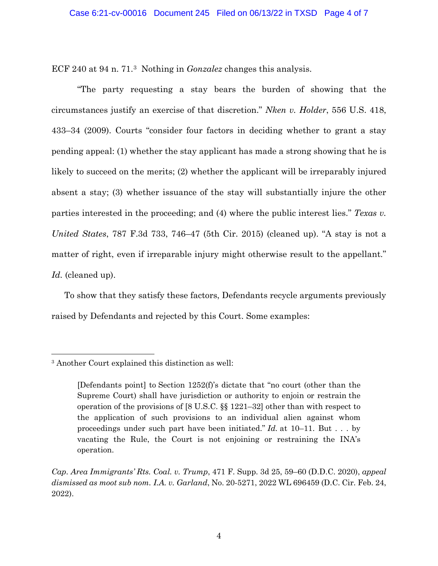ECF 240 at 94 n. 71.3 Nothing in *Gonzalez* changes this analysis.

"The party requesting a stay bears the burden of showing that the circumstances justify an exercise of that discretion." *Nken v. Holder*, 556 U.S. 418, 433–34 (2009). Courts "consider four factors in deciding whether to grant a stay pending appeal: (1) whether the stay applicant has made a strong showing that he is likely to succeed on the merits; (2) whether the applicant will be irreparably injured absent a stay; (3) whether issuance of the stay will substantially injure the other parties interested in the proceeding; and (4) where the public interest lies." *Texas v. United States*, 787 F.3d 733, 746–47 (5th Cir. 2015) (cleaned up). "A stay is not a matter of right, even if irreparable injury might otherwise result to the appellant." *Id.* (cleaned up).

To show that they satisfy these factors, Defendants recycle arguments previously raised by Defendants and rejected by this Court. Some examples:

<sup>3</sup> Another Court explained this distinction as well:

<sup>[</sup>Defendants point] to Section 1252(f)'s dictate that "no court (other than the Supreme Court) shall have jurisdiction or authority to enjoin or restrain the operation of the provisions of [8 U.S.C. §§ 1221–32] other than with respect to the application of such provisions to an individual alien against whom proceedings under such part have been initiated." *Id.* at 10–11. But . . . by vacating the Rule, the Court is not enjoining or restraining the INA's operation.

*Cap. Area Immigrants' Rts. Coal. v. Trump*, 471 F. Supp. 3d 25, 59–60 (D.D.C. 2020), *appeal dismissed as moot sub nom. I.A. v. Garland*, No. 20-5271, 2022 WL 696459 (D.C. Cir. Feb. 24, 2022).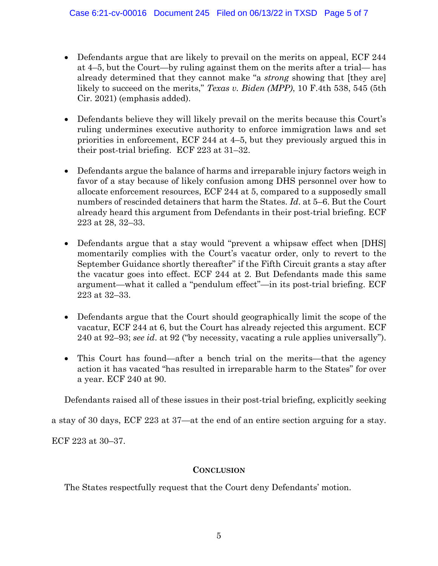- Defendants argue that are likely to prevail on the merits on appeal, ECF 244 at 4–5, but the Court—by ruling against them on the merits after a trial— has already determined that they cannot make "a *strong* showing that [they are] likely to succeed on the merits," *Texas v. Biden (MPP)*, 10 F.4th 538, 545 (5th Cir. 2021) (emphasis added).
- Defendants believe they will likely prevail on the merits because this Court's ruling undermines executive authority to enforce immigration laws and set priorities in enforcement, ECF 244 at 4–5, but they previously argued this in their post-trial briefing. ECF 223 at 31–32.
- Defendants argue the balance of harms and irreparable injury factors weigh in favor of a stay because of likely confusion among DHS personnel over how to allocate enforcement resources, ECF 244 at 5, compared to a supposedly small numbers of rescinded detainers that harm the States. *Id*. at 5–6. But the Court already heard this argument from Defendants in their post-trial briefing. ECF 223 at 28, 32–33.
- Defendants argue that a stay would "prevent a whipsaw effect when [DHS] momentarily complies with the Court's vacatur order, only to revert to the September Guidance shortly thereafter" if the Fifth Circuit grants a stay after the vacatur goes into effect. ECF 244 at 2. But Defendants made this same argument—what it called a "pendulum effect"—in its post-trial briefing. ECF 223 at 32–33.
- Defendants argue that the Court should geographically limit the scope of the vacatur, ECF 244 at 6, but the Court has already rejected this argument. ECF 240 at 92–93; *see id*. at 92 ("by necessity, vacating a rule applies universally").
- This Court has found—after a bench trial on the merits—that the agency action it has vacated "has resulted in irreparable harm to the States" for over a year. ECF 240 at 90.

Defendants raised all of these issues in their post-trial briefing, explicitly seeking

a stay of 30 days, ECF 223 at 37—at the end of an entire section arguing for a stay.

ECF 223 at 30–37.

## **CONCLUSION**

The States respectfully request that the Court deny Defendants' motion.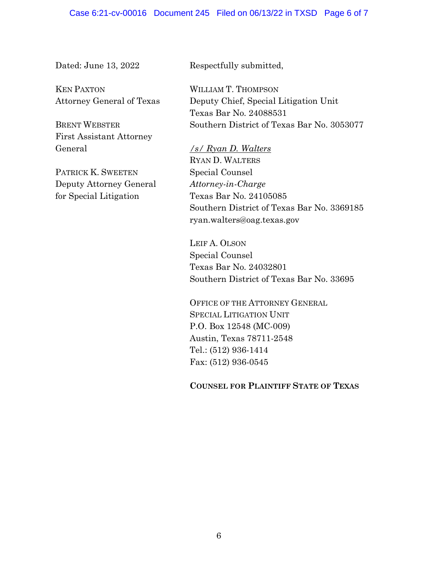Dated: June 13, 2022

KEN PAXTON Attorney General of Texas

BRENT WEBSTER First Assistant Attorney General

PATRICK K. SWEETEN Deputy Attorney General for Special Litigation

Respectfully submitted,

WILLIAM T. THOMPSON Deputy Chief, Special Litigation Unit Texas Bar No. 24088531 Southern District of Texas Bar No. 3053077

*/s/ Ryan D. Walters* RYAN D. WALTERS Special Counsel *Attorney-in-Charge* Texas Bar No. 24105085 Southern District of Texas Bar No. 3369185 ryan.walters@oag.texas.gov

LEIF A. OLSON Special Counsel Texas Bar No. 24032801 Southern District of Texas Bar No. 33695

OFFICE OF THE ATTORNEY GENERAL SPECIAL LITIGATION UNIT P.O. Box 12548 (MC-009) Austin, Texas 78711-2548 Tel.: (512) 936-1414 Fax: (512) 936-0545

**COUNSEL FOR PLAINTIFF STATE OF TEXAS**